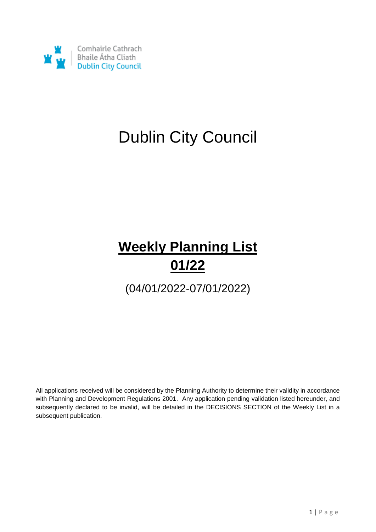

## Dublin City Council

## **Weekly Planning List 01/22**

(04/01/2022-07/01/2022)

All applications received will be considered by the Planning Authority to determine their validity in accordance with Planning and Development Regulations 2001. Any application pending validation listed hereunder, and subsequently declared to be invalid, will be detailed in the DECISIONS SECTION of the Weekly List in a subsequent publication.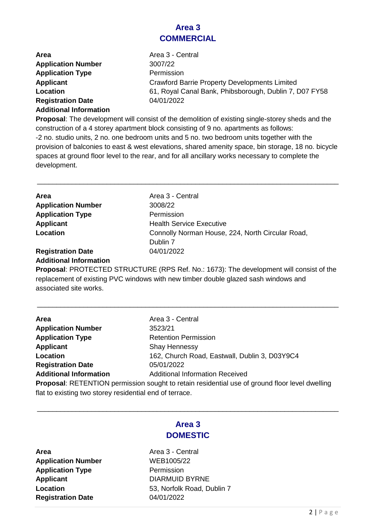#### **Area 3 COMMERCIAL**

| Area                      | Area 3 - Central                                       |
|---------------------------|--------------------------------------------------------|
| <b>Application Number</b> | 3007/22                                                |
| <b>Application Type</b>   | Permission                                             |
| <b>Applicant</b>          | <b>Crawford Barrie Property Developments Limited</b>   |
| Location                  | 61, Royal Canal Bank, Phibsborough, Dublin 7, D07 FY58 |
| <b>Registration Date</b>  | 04/01/2022                                             |
|                           |                                                        |

**Additional Information**

**Proposal**: The development will consist of the demolition of existing single-storey sheds and the construction of a 4 storey apartment block consisting of 9 no. apartments as follows: -2 no. studio units, 2 no. one bedroom units and 5 no. two bedroom units together with the provision of balconies to east & west elevations, shared amenity space, bin storage, 18 no. bicycle spaces at ground floor level to the rear, and for all ancillary works necessary to complete the development.

\_\_\_\_\_\_\_\_\_\_\_\_\_\_\_\_\_\_\_\_\_\_\_\_\_\_\_\_\_\_\_\_\_\_\_\_\_\_\_\_\_\_\_\_\_\_\_\_\_\_\_\_\_\_\_\_\_\_\_\_\_\_\_\_\_\_\_\_\_\_\_\_\_\_\_\_\_\_

| <b>Area</b>               | Area 3 - Central                                 |
|---------------------------|--------------------------------------------------|
| <b>Application Number</b> | 3008/22                                          |
| <b>Application Type</b>   | Permission                                       |
| <b>Applicant</b>          | <b>Health Service Executive</b>                  |
| Location                  | Connolly Norman House, 224, North Circular Road, |
|                           | Dublin 7                                         |
| <b>Registration Date</b>  | 04/01/2022                                       |
|                           |                                                  |

#### **Additional Information**

**Proposal**: PROTECTED STRUCTURE (RPS Ref. No.: 1673): The development will consist of the replacement of existing PVC windows with new timber double glazed sash windows and associated site works.

\_\_\_\_\_\_\_\_\_\_\_\_\_\_\_\_\_\_\_\_\_\_\_\_\_\_\_\_\_\_\_\_\_\_\_\_\_\_\_\_\_\_\_\_\_\_\_\_\_\_\_\_\_\_\_\_\_\_\_\_\_\_\_\_\_\_\_\_\_\_\_\_\_\_\_\_\_\_

| <b>Area</b>                                             | Area 3 - Central                                                                               |
|---------------------------------------------------------|------------------------------------------------------------------------------------------------|
| <b>Application Number</b>                               | 3523/21                                                                                        |
| <b>Application Type</b>                                 | <b>Retention Permission</b>                                                                    |
| <b>Applicant</b>                                        | <b>Shay Hennessy</b>                                                                           |
| Location                                                | 162, Church Road, Eastwall, Dublin 3, D03Y9C4                                                  |
| <b>Registration Date</b>                                | 05/01/2022                                                                                     |
| <b>Additional Information</b>                           | <b>Additional Information Received</b>                                                         |
|                                                         | Proposal: RETENTION permission sought to retain residential use of ground floor level dwelling |
| flat to existing two storey residential end of terrace. |                                                                                                |

#### **Area 3 DOMESTIC**

\_\_\_\_\_\_\_\_\_\_\_\_\_\_\_\_\_\_\_\_\_\_\_\_\_\_\_\_\_\_\_\_\_\_\_\_\_\_\_\_\_\_\_\_\_\_\_\_\_\_\_\_\_\_\_\_\_\_\_\_\_\_\_\_\_\_\_\_\_\_\_\_\_\_\_\_\_\_

**Area Area 3 - Central Application Number** WEB1005/22 **Application Type** Permission **Applicant** DIARMUID BYRNE **Registration Date** 04/01/2022

# **Location** 53, Norfolk Road, Dublin 7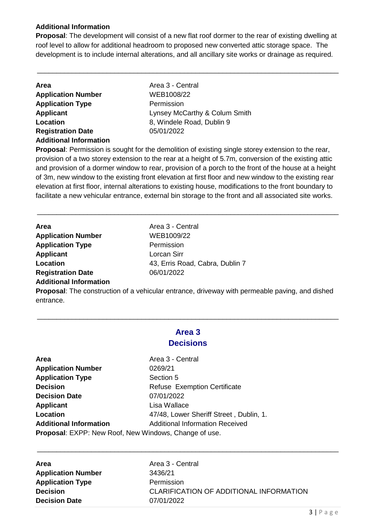#### **Additional Information**

**Proposal**: The development will consist of a new flat roof dormer to the rear of existing dwelling at roof level to allow for additional headroom to proposed new converted attic storage space. The development is to include internal alterations, and all ancillary site works or drainage as required.

\_\_\_\_\_\_\_\_\_\_\_\_\_\_\_\_\_\_\_\_\_\_\_\_\_\_\_\_\_\_\_\_\_\_\_\_\_\_\_\_\_\_\_\_\_\_\_\_\_\_\_\_\_\_\_\_\_\_\_\_\_\_\_\_\_\_\_\_\_\_\_\_\_\_\_\_\_\_

| <b>Area</b>                   | Area 3 - Central              |
|-------------------------------|-------------------------------|
| <b>Application Number</b>     | WEB1008/22                    |
| <b>Application Type</b>       | Permission                    |
| Applicant                     | Lynsey McCarthy & Colum Smith |
| Location                      | 8, Windele Road, Dublin 9     |
| <b>Registration Date</b>      | 05/01/2022                    |
| <b>Additional Information</b> |                               |

**Proposal**: Permission is sought for the demolition of existing single storey extension to the rear, provision of a two storey extension to the rear at a height of 5.7m, conversion of the existing attic and provision of a dormer window to rear, provision of a porch to the front of the house at a height of 3m, new window to the existing front elevation at first floor and new window to the existing rear elevation at first floor, internal alterations to existing house, modifications to the front boundary to facilitate a new vehicular entrance, external bin storage to the front and all associated site works.

\_\_\_\_\_\_\_\_\_\_\_\_\_\_\_\_\_\_\_\_\_\_\_\_\_\_\_\_\_\_\_\_\_\_\_\_\_\_\_\_\_\_\_\_\_\_\_\_\_\_\_\_\_\_\_\_\_\_\_\_\_\_\_\_\_\_\_\_\_\_\_\_\_\_\_\_\_\_

| <b>Area</b>                   | Area 3 - Central                |
|-------------------------------|---------------------------------|
| <b>Application Number</b>     | WEB1009/22                      |
| <b>Application Type</b>       | Permission                      |
| Applicant                     | Lorcan Sirr                     |
| Location                      | 43, Erris Road, Cabra, Dublin 7 |
| <b>Registration Date</b>      | 06/01/2022                      |
| <b>Additional Information</b> |                                 |

**Proposal**: The construction of a vehicular entrance, driveway with permeable paving, and dished entrance.

#### **Area 3 Decisions**

\_\_\_\_\_\_\_\_\_\_\_\_\_\_\_\_\_\_\_\_\_\_\_\_\_\_\_\_\_\_\_\_\_\_\_\_\_\_\_\_\_\_\_\_\_\_\_\_\_\_\_\_\_\_\_\_\_\_\_\_\_\_\_\_\_\_\_\_\_\_\_\_\_\_\_\_\_\_

| <b>Application Number</b><br>0269/21<br><b>Application Type</b><br>Section 5<br><b>Decision</b><br><b>Refuse Exemption Certificate</b><br>07/01/2022<br><b>Decision Date</b><br>Lisa Wallace<br><b>Applicant</b><br>Location<br><b>Additional Information</b><br><b>Additional Information Received</b><br>Proposal: EXPP: New Roof, New Windows, Change of use. | Area | Area 3 - Central                        |
|------------------------------------------------------------------------------------------------------------------------------------------------------------------------------------------------------------------------------------------------------------------------------------------------------------------------------------------------------------------|------|-----------------------------------------|
|                                                                                                                                                                                                                                                                                                                                                                  |      |                                         |
|                                                                                                                                                                                                                                                                                                                                                                  |      |                                         |
|                                                                                                                                                                                                                                                                                                                                                                  |      |                                         |
|                                                                                                                                                                                                                                                                                                                                                                  |      |                                         |
|                                                                                                                                                                                                                                                                                                                                                                  |      |                                         |
|                                                                                                                                                                                                                                                                                                                                                                  |      | 47/48, Lower Sheriff Street, Dublin, 1. |
|                                                                                                                                                                                                                                                                                                                                                                  |      |                                         |
|                                                                                                                                                                                                                                                                                                                                                                  |      |                                         |

| <b>Area</b>               | Area 3 - Central                        |
|---------------------------|-----------------------------------------|
| <b>Application Number</b> | 3436/21                                 |
| <b>Application Type</b>   | Permission                              |
| <b>Decision</b>           | CLARIFICATION OF ADDITIONAL INFORMATION |
| <b>Decision Date</b>      | 07/01/2022                              |

\_\_\_\_\_\_\_\_\_\_\_\_\_\_\_\_\_\_\_\_\_\_\_\_\_\_\_\_\_\_\_\_\_\_\_\_\_\_\_\_\_\_\_\_\_\_\_\_\_\_\_\_\_\_\_\_\_\_\_\_\_\_\_\_\_\_\_\_\_\_\_\_\_\_\_\_\_\_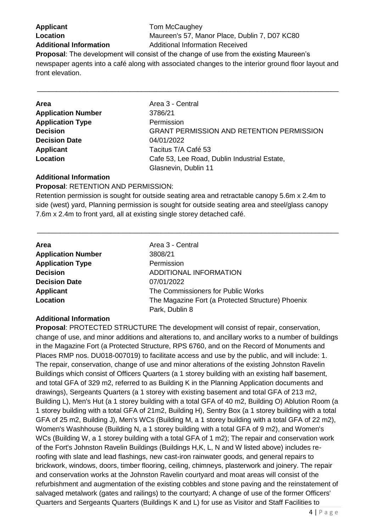**Applicant** Tom McCaughey

**Location** Maureen's 57, Manor Place, Dublin 7, D07 KC80 **Additional Information** Additional Information Received

**Proposal**: The development will consist of the change of use from the existing Maureen's newspaper agents into a café along with associated changes to the interior ground floor layout and front elevation.

\_\_\_\_\_\_\_\_\_\_\_\_\_\_\_\_\_\_\_\_\_\_\_\_\_\_\_\_\_\_\_\_\_\_\_\_\_\_\_\_\_\_\_\_\_\_\_\_\_\_\_\_\_\_\_\_\_\_\_\_\_\_\_\_\_\_\_\_\_\_\_\_\_\_\_\_\_\_

| <b>Area</b>               | Area 3 - Central                                 |
|---------------------------|--------------------------------------------------|
| <b>Application Number</b> | 3786/21                                          |
| <b>Application Type</b>   | Permission                                       |
| <b>Decision</b>           | <b>GRANT PERMISSION AND RETENTION PERMISSION</b> |
| <b>Decision Date</b>      | 04/01/2022                                       |
| <b>Applicant</b>          | Tacitus T/A Café 53                              |
| Location                  | Cafe 53, Lee Road, Dublin Industrial Estate,     |
|                           | Glasnevin, Dublin 11                             |

#### **Additional Information**

**Proposal**: RETENTION AND PERMISSION: Retention permission is sought for outside seating area and retractable canopy 5.6m x 2.4m to side (west) yard, Planning permission is sought for outside seating area and steel/glass canopy 7.6m x 2.4m to front yard, all at existing single storey detached café.

\_\_\_\_\_\_\_\_\_\_\_\_\_\_\_\_\_\_\_\_\_\_\_\_\_\_\_\_\_\_\_\_\_\_\_\_\_\_\_\_\_\_\_\_\_\_\_\_\_\_\_\_\_\_\_\_\_\_\_\_\_\_\_\_\_\_\_\_\_\_\_\_\_\_\_\_\_\_

| <b>Area</b>               | Area 3 - Central                                  |
|---------------------------|---------------------------------------------------|
| <b>Application Number</b> | 3808/21                                           |
| <b>Application Type</b>   | Permission                                        |
| <b>Decision</b>           | ADDITIONAL INFORMATION                            |
| <b>Decision Date</b>      | 07/01/2022                                        |
| <b>Applicant</b>          | The Commissioners for Public Works                |
| Location                  | The Magazine Fort (a Protected Structure) Phoenix |
|                           | Park, Dublin 8                                    |

#### **Additional Information**

**Proposal**: PROTECTED STRUCTURE The development will consist of repair, conservation, change of use, and minor additions and alterations to, and ancillary works to a number of buildings in the Magazine Fort (a Protected Structure, RPS 6760, and on the Record of Monuments and Places RMP nos. DU018-007019) to facilitate access and use by the public, and will include: 1. The repair, conservation, change of use and minor alterations of the existing Johnston Ravelin Buildings which consist of Officers Quarters (a 1 storey building with an existing half basement, and total GFA of 329 m2, referred to as Building K in the Planning Application documents and drawings), Sergeants Quarters (a 1 storey with existing basement and total GFA of 213 m2, Building L), Men's Hut (a 1 storey building with a total GFA of 40 m2, Building O) Ablution Room (a 1 storey building with a total GFA of 21m2, Building H), Sentry Box (a 1 storey building with a total GFA of 25 m2, Building J), Men's WCs (Building M, a 1 storey building with a total GFA of 22 m2), Women's Washhouse (Building N, a 1 storey building with a total GFA of 9 m2), and Women's WCs (Building W, a 1 storey building with a total GFA of 1 m2); The repair and conservation work of the Fort's Johnston Ravelin Buildings (Buildings H,K, L, N and W listed above) includes reroofing with slate and lead flashings, new cast-iron rainwater goods, and general repairs to brickwork, windows, doors, timber flooring, ceiling, chimneys, plasterwork and joinery. The repair and conservation works at the Johnston Ravelin courtyard and moat areas will consist of the refurbishment and augmentation of the existing cobbles and stone paving and the reinstatement of salvaged metalwork (gates and railings) to the courtyard; A change of use of the former Officers' Quarters and Sergeants Quarters (Buildings K and L) for use as Visitor and Staff Facilities to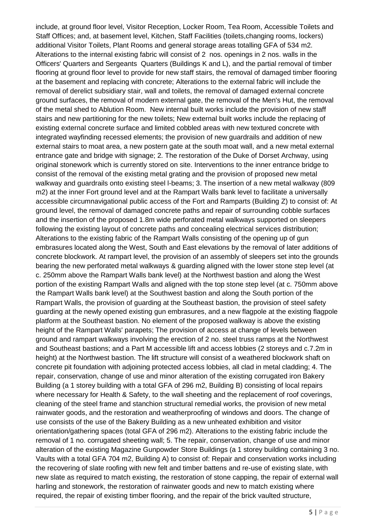include, at ground floor level, Visitor Reception, Locker Room, Tea Room, Accessible Toilets and Staff Offices; and, at basement level, Kitchen, Staff Facilities (toilets,changing rooms, lockers) additional Visitor Toilets, Plant Rooms and general storage areas totalling GFA of 534 m2. Alterations to the internal existing fabric will consist of 2 nos. openings in 2 nos. walls in the Officers' Quarters and Sergeants Quarters (Buildings K and L), and the partial removal of timber flooring at ground floor level to provide for new staff stairs, the removal of damaged timber flooring at the basement and replacing with concrete; Alterations to the external fabric will include the removal of derelict subsidiary stair, wall and toilets, the removal of damaged external concrete ground surfaces, the removal of modern external gate, the removal of the Men's Hut, the removal of the metal shed to Ablution Room. New internal built works include the provision of new staff stairs and new partitioning for the new toilets; New external built works include the replacing of existing external concrete surface and limited cobbled areas with new textured concrete with integrated wayfinding recessed elements; the provision of new guardrails and addition of new external stairs to moat area, a new postern gate at the south moat wall, and a new metal external entrance gate and bridge with signage; 2. The restoration of the Duke of Dorset Archway, using original stonework which is currently stored on site. Interventions to the inner entrance bridge to consist of the removal of the existing metal grating and the provision of proposed new metal walkway and guardrails onto existing steel l-beams; 3. The insertion of a new metal walkway (809 m2) at the inner Fort ground level and at the Rampart Walls bank level to facilitate a universally accessible circumnavigational public access of the Fort and Ramparts (Building Z) to consist of: At ground level, the removal of damaged concrete paths and repair of surrounding cobble surfaces and the insertion of the proposed 1.8m wide perforated metal walkways supported on sleepers following the existing layout of concrete paths and concealing electrical services distribution; Alterations to the existing fabric of the Rampart Walls consisting of the opening up of gun embrasures located along the West, South and East elevations by the removal of later additions of concrete blockwork. At rampart level, the provision of an assembly of sleepers set into the grounds bearing the new perforated metal walkways & guarding aligned with the lower stone step level (at c. 250mm above the Rampart Walls bank level) at the Northwest bastion and along the West portion of the existing Rampart Walls and aligned with the top stone step level (at c. 750mm above the Rampart Walls bank level) at the Southwest bastion and along the South portion of the Rampart Walls, the provision of guarding at the Southeast bastion, the provision of steel safety guarding at the newly opened existing gun embrasures, and a new flagpole at the existing flagpole platform at the Southeast bastion. No element of the proposed walkway is above the existing height of the Rampart Walls' parapets; The provision of access at change of levels between ground and rampart walkways involving the erection of 2 no. steel truss ramps at the Northwest and Southeast bastions; and a Part M accessible lift and access lobbies (2 storeys and c.7.2m in height) at the Northwest bastion. The lift structure will consist of a weathered blockwork shaft on concrete pit foundation with adjoining protected access lobbies, all clad in metal cladding; 4. The repair, conservation, change of use and minor alteration of the existing corrugated iron Bakery Building (a 1 storey building with a total GFA of 296 m2, Building B) consisting of local repairs where necessary for Health & Safety, to the wall sheeting and the replacement of roof coverings, cleaning of the steel frame and stanchion structural remedial works, the provision of new metal rainwater goods, and the restoration and weatherproofing of windows and doors. The change of use consists of the use of the Bakery Building as a new unheated exhibition and visitor orientation/gathering spaces (total GFA of 296 m2). Alterations to the existing fabric include the removal of 1 no. corrugated sheeting wall; 5. The repair, conservation, change of use and minor alteration of the existing Magazine Gunpowder Store Buildings (a 1 storey building containing 3 no. Vaults with a total GFA 704 m2, Building A) to consist of: Repair and conservation works including the recovering of slate roofing with new felt and timber battens and re-use of existing slate, with new slate as required to match existing, the restoration of stone capping, the repair of external wall harling and stonework, the restoration of rainwater goods and new to match existing where required, the repair of existing timber flooring, and the repair of the brick vaulted structure,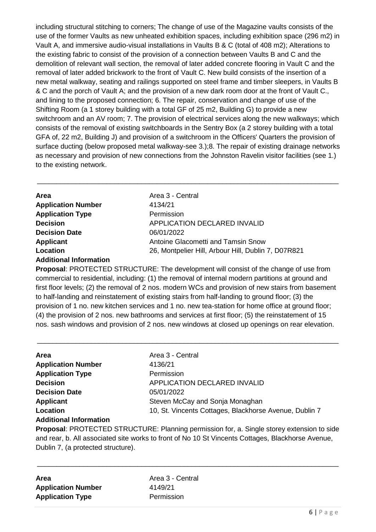including structural stitching to corners; The change of use of the Magazine vaults consists of the use of the former Vaults as new unheated exhibition spaces, including exhibition space (296 m2) in Vault A, and immersive audio-visual installations in Vaults B & C (total of 408 m2); Alterations to the existing fabric to consist of the provision of a connection between Vaults B and C and the demolition of relevant wall section, the removal of later added concrete flooring in Vault C and the removal of later added brickwork to the front of Vault C. New build consists of the insertion of a new metal walkway, seating and railings supported on steel frame and timber sleepers, in Vaults B & C and the porch of Vault A; and the provision of a new dark room door at the front of Vault C., and lining to the proposed connection; 6. The repair, conservation and change of use of the Shifting Room (a 1 storey building with a total GF of 25 m2, Building G) to provide a new switchroom and an AV room; 7. The provision of electrical services along the new walkways; which consists of the removal of existing switchboards in the Sentry Box (a 2 storey building with a total GFA of, 22 m2, Building J) and provision of a switchroom in the Officers' Quarters the provision of surface ducting (below proposed metal walkway-see 3.);8. The repair of existing drainage networks as necessary and provision of new connections from the Johnston Ravelin visitor facilities (see 1.) to the existing network.

\_\_\_\_\_\_\_\_\_\_\_\_\_\_\_\_\_\_\_\_\_\_\_\_\_\_\_\_\_\_\_\_\_\_\_\_\_\_\_\_\_\_\_\_\_\_\_\_\_\_\_\_\_\_\_\_\_\_\_\_\_\_\_\_\_\_\_\_\_\_\_\_\_\_\_\_\_\_

| Area                          | Area 3 - Central                                    |
|-------------------------------|-----------------------------------------------------|
| <b>Application Number</b>     | 4134/21                                             |
| <b>Application Type</b>       | Permission                                          |
| <b>Decision</b>               | APPLICATION DECLARED INVALID                        |
| <b>Decision Date</b>          | 06/01/2022                                          |
| <b>Applicant</b>              | Antoine Glacometti and Tamsin Snow                  |
| Location                      | 26, Montpelier Hill, Arbour Hill, Dublin 7, D07R821 |
| <b>Additional Information</b> |                                                     |

**Proposal**: PROTECTED STRUCTURE: The development will consist of the change of use from commercial to residential, including: (1) the removal of internal modern partitions at ground and first floor levels; (2) the removal of 2 nos. modern WCs and provision of new stairs from basement to half-landing and reinstatement of existing stairs from half-landing to ground floor; (3) the provision of 1 no. new kitchen services and 1 no. new tea-station for home office at ground floor; (4) the provision of 2 nos. new bathrooms and services at first floor; (5) the reinstatement of 15 nos. sash windows and provision of 2 nos. new windows at closed up openings on rear elevation.

\_\_\_\_\_\_\_\_\_\_\_\_\_\_\_\_\_\_\_\_\_\_\_\_\_\_\_\_\_\_\_\_\_\_\_\_\_\_\_\_\_\_\_\_\_\_\_\_\_\_\_\_\_\_\_\_\_\_\_\_\_\_\_\_\_\_\_\_\_\_\_\_\_\_\_\_\_\_

| <b>Area</b>               | Area 3 - Central                                       |
|---------------------------|--------------------------------------------------------|
| <b>Application Number</b> | 4136/21                                                |
| <b>Application Type</b>   | Permission                                             |
| <b>Decision</b>           | <b>APPLICATION DECLARED INVALID</b>                    |
| <b>Decision Date</b>      | 05/01/2022                                             |
| Applicant                 | Steven McCay and Sonja Monaghan                        |
| Location                  | 10, St. Vincents Cottages, Blackhorse Avenue, Dublin 7 |
| Additional Information    |                                                        |

#### **Additional Information**

**Proposal**: PROTECTED STRUCTURE: Planning permission for, a. Single storey extension to side and rear, b. All associated site works to front of No 10 St Vincents Cottages, Blackhorse Avenue, Dublin 7, (a protected structure).

\_\_\_\_\_\_\_\_\_\_\_\_\_\_\_\_\_\_\_\_\_\_\_\_\_\_\_\_\_\_\_\_\_\_\_\_\_\_\_\_\_\_\_\_\_\_\_\_\_\_\_\_\_\_\_\_\_\_\_\_\_\_\_\_\_\_\_\_\_\_\_\_\_\_\_\_\_\_

| Area                      |  |
|---------------------------|--|
| <b>Application Number</b> |  |
| <b>Application Type</b>   |  |

**Area** Area 3 - Central **Application Number** 4149/21 **Permission**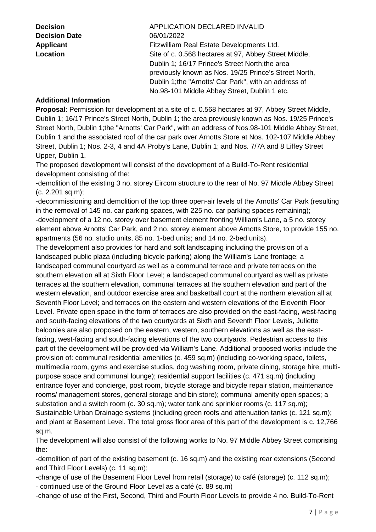**Decision Date** 06/01/2022

**Decision** APPLICATION DECLARED INVALID Applicant **Applicant** Fitzwilliam Real Estate Developments Ltd. **Location** Site of c. 0.568 hectares at 97, Abbey Street Middle, Dublin 1; 16/17 Prince's Street North;the area previously known as Nos. 19/25 Prince's Street North, Dublin 1;the "Arnotts' Car Park", with an address of No.98-101 Middle Abbey Street, Dublin 1 etc.

#### **Additional Information**

**Proposal**: Permission for development at a site of c. 0.568 hectares at 97, Abbey Street Middle, Dublin 1; 16/17 Prince's Street North, Dublin 1; the area previously known as Nos. 19/25 Prince's Street North, Dublin 1;the "Arnotts' Car Park", with an address of Nos.98-101 Middle Abbey Street, Dublin 1 and the associated roof of the car park over Arnotts Store at Nos. 102-107 Middle Abbey Street, Dublin 1; Nos. 2-3, 4 and 4A Proby's Lane, Dublin 1; and Nos. 7/7A and 8 Liffey Street Upper, Dublin 1.

The proposed development will consist of the development of a Build-To-Rent residential development consisting of the:

-demolition of the existing 3 no. storey Eircom structure to the rear of No. 97 Middle Abbey Street (c. 2.201 sq.m);

-decommissioning and demolition of the top three open-air levels of the Arnotts' Car Park (resulting in the removal of 145 no. car parking spaces, with 225 no. car parking spaces remaining); -development of a 12 no. storey over basement element fronting William's Lane, a 5 no. storey element above Arnotts' Car Park, and 2 no. storey element above Arnotts Store, to provide 155 no. apartments (56 no. studio units, 85 no. 1-bed units; and 14 no. 2-bed units).

The development also provides for hard and soft landscaping including the provision of a landscaped public plaza (including bicycle parking) along the William's Lane frontage; a landscaped communal courtyard as well as a communal terrace and private terraces on the southern elevation all at Sixth Floor Level; a landscaped communal courtyard as well as private terraces at the southern elevation, communal terraces at the southern elevation and part of the western elevation, and outdoor exercise area and basketball court at the northern elevation all at Seventh Floor Level; and terraces on the eastern and western elevations of the Eleventh Floor Level. Private open space in the form of terraces are also provided on the east-facing, west-facing and south-facing elevations of the two courtyards at Sixth and Seventh Floor Levels, Juliette balconies are also proposed on the eastern, western, southern elevations as well as the eastfacing, west-facing and south-facing elevations of the two courtyards. Pedestrian access to this part of the development will be provided via William's Lane. Additional proposed works include the provision of: communal residential amenities (c. 459 sq.m) (including co-working space, toilets, multimedia room, gyms and exercise studios, dog washing room, private dining, storage hire, multipurpose space and communal lounge); residential support facilities (c. 471 sq.m) (including entrance foyer and concierge, post room, bicycle storage and bicycle repair station, maintenance rooms/ management stores, general storage and bin store); communal amenity open spaces; a substation and a switch room (c. 30 sq.m); water tank and sprinkler rooms (c. 117 sq.m); Sustainable Urban Drainage systems (including green roofs and attenuation tanks (c. 121 sq.m); and plant at Basement Level. The total gross floor area of this part of the development is c. 12,766

sq.m. The development will also consist of the following works to No. 97 Middle Abbey Street comprising the:

-demolition of part of the existing basement (c. 16 sq.m) and the existing rear extensions (Second and Third Floor Levels) (c. 11 sq.m);

-change of use of the Basement Floor Level from retail (storage) to café (storage) (c. 112 sq.m); - continued use of the Ground Floor Level as a café (c. 89 sq.m)

-change of use of the First, Second, Third and Fourth Floor Levels to provide 4 no. Build-To-Rent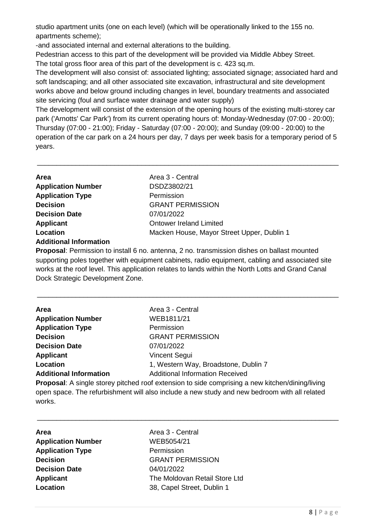studio apartment units (one on each level) (which will be operationally linked to the 155 no. apartments scheme);

-and associated internal and external alterations to the building.

Pedestrian access to this part of the development will be provided via Middle Abbey Street. The total gross floor area of this part of the development is c. 423 sq.m.

The development will also consist of: associated lighting; associated signage; associated hard and soft landscaping; and all other associated site excavation, infrastructural and site development works above and below ground including changes in level, boundary treatments and associated site servicing (foul and surface water drainage and water supply)

The development will consist of the extension of the opening hours of the existing multi-storey car park ('Arnotts' Car Park') from its current operating hours of: Monday-Wednesday (07:00 - 20:00); Thursday (07:00 - 21:00); Friday - Saturday (07:00 - 20:00); and Sunday (09:00 - 20:00) to the operation of the car park on a 24 hours per day, 7 days per week basis for a temporary period of 5 years.

\_\_\_\_\_\_\_\_\_\_\_\_\_\_\_\_\_\_\_\_\_\_\_\_\_\_\_\_\_\_\_\_\_\_\_\_\_\_\_\_\_\_\_\_\_\_\_\_\_\_\_\_\_\_\_\_\_\_\_\_\_\_\_\_\_\_\_\_\_\_\_\_\_\_\_\_\_\_

| Area                          | Area 3 - Central                           |
|-------------------------------|--------------------------------------------|
| <b>Application Number</b>     | DSDZ3802/21                                |
| <b>Application Type</b>       | Permission                                 |
| <b>Decision</b>               | <b>GRANT PERMISSION</b>                    |
| <b>Decision Date</b>          | 07/01/2022                                 |
| <b>Applicant</b>              | <b>Ontower Ireland Limited</b>             |
| Location                      | Macken House, Mayor Street Upper, Dublin 1 |
| <b>Additional Information</b> |                                            |

**Proposal**: Permission to install 6 no. antenna, 2 no. transmission dishes on ballast mounted supporting poles together with equipment cabinets, radio equipment, cabling and associated site works at the roof level. This application relates to lands within the North Lotts and Grand Canal Dock Strategic Development Zone.

\_\_\_\_\_\_\_\_\_\_\_\_\_\_\_\_\_\_\_\_\_\_\_\_\_\_\_\_\_\_\_\_\_\_\_\_\_\_\_\_\_\_\_\_\_\_\_\_\_\_\_\_\_\_\_\_\_\_\_\_\_\_\_\_\_\_\_\_\_\_\_\_\_\_\_\_\_\_

| Area                          | Area 3 - Central                       |
|-------------------------------|----------------------------------------|
| <b>Application Number</b>     | WEB1811/21                             |
| <b>Application Type</b>       | Permission                             |
| <b>Decision</b>               | <b>GRANT PERMISSION</b>                |
| <b>Decision Date</b>          | 07/01/2022                             |
| <b>Applicant</b>              | <b>Vincent Segui</b>                   |
| Location                      | 1, Western Way, Broadstone, Dublin 7   |
| <b>Additional Information</b> | <b>Additional Information Received</b> |
|                               |                                        |

**Proposal**: A single storey pitched roof extension to side comprising a new kitchen/dining/living open space. The refurbishment will also include a new study and new bedroom with all related works.

\_\_\_\_\_\_\_\_\_\_\_\_\_\_\_\_\_\_\_\_\_\_\_\_\_\_\_\_\_\_\_\_\_\_\_\_\_\_\_\_\_\_\_\_\_\_\_\_\_\_\_\_\_\_\_\_\_\_\_\_\_\_\_\_\_\_\_\_\_\_\_\_\_\_\_\_\_\_

| Area                      |
|---------------------------|
| <b>Application Number</b> |
| <b>Application Type</b>   |
| <b>Decision</b>           |
| <b>Decision Date</b>      |
| <b>Applicant</b>          |
| <b>Location</b>           |

**Area** Area 3 - Central **Application Number** WEB5054/21 **Permission Decision** GRANT PERMISSION **Decision Date** 04/01/2022 **The Moldovan Retail Store Ltd Location** 38, Capel Street, Dublin 1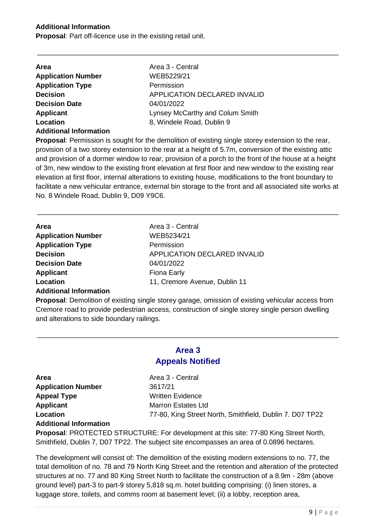#### **Additional Information**

**Proposal**: Part off-licence use in the existing retail unit.

| <b>Area</b>                   | Area 3 - Central                    |
|-------------------------------|-------------------------------------|
| <b>Application Number</b>     | WEB5229/21                          |
| <b>Application Type</b>       | Permission                          |
| <b>Decision</b>               | <b>APPLICATION DECLARED INVALID</b> |
| <b>Decision Date</b>          | 04/01/2022                          |
| <b>Applicant</b>              | Lynsey McCarthy and Colum Smith     |
| Location                      | 8, Windele Road, Dublin 9           |
| <b>Additional Information</b> |                                     |

**Proposal**: Permission is sought for the demolition of existing single storey extension to the rear, provision of a two storey extension to the rear at a height of 5.7m, conversion of the existing attic and provision of a dormer window to rear, provision of a porch to the front of the house at a height of 3m, new window to the existing front elevation at first floor and new window to the existing rear elevation at first floor, internal alterations to existing house, modifications to the front boundary to facilitate a new vehicular entrance, external bin storage to the front and all associated site works at No. 8 Windele Road, Dublin 9, D09 Y9C6.

\_\_\_\_\_\_\_\_\_\_\_\_\_\_\_\_\_\_\_\_\_\_\_\_\_\_\_\_\_\_\_\_\_\_\_\_\_\_\_\_\_\_\_\_\_\_\_\_\_\_\_\_\_\_\_\_\_\_\_\_\_\_\_\_\_\_\_\_\_\_\_\_\_\_\_\_\_\_

\_\_\_\_\_\_\_\_\_\_\_\_\_\_\_\_\_\_\_\_\_\_\_\_\_\_\_\_\_\_\_\_\_\_\_\_\_\_\_\_\_\_\_\_\_\_\_\_\_\_\_\_\_\_\_\_\_\_\_\_\_\_\_\_\_\_\_\_\_\_\_\_\_\_\_\_\_\_

| <b>Area</b>               | Area 3 - Central              |
|---------------------------|-------------------------------|
| <b>Application Number</b> | WEB5234/21                    |
| <b>Application Type</b>   | Permission                    |
| <b>Decision</b>           | APPLICATION DECLARED INVALID  |
| <b>Decision Date</b>      | 04/01/2022                    |
| <b>Applicant</b>          | Fiona Early                   |
| Location                  | 11, Cremore Avenue, Dublin 11 |
|                           |                               |

#### **Additional Information**

**Proposal**: Demolition of existing single storey garage, omission of existing vehicular access from Cremore road to provide pedestrian access, construction of single storey single person dwelling and alterations to side boundary railings.

#### **Area 3 Appeals Notified**

\_\_\_\_\_\_\_\_\_\_\_\_\_\_\_\_\_\_\_\_\_\_\_\_\_\_\_\_\_\_\_\_\_\_\_\_\_\_\_\_\_\_\_\_\_\_\_\_\_\_\_\_\_\_\_\_\_\_\_\_\_\_\_\_\_\_\_\_\_\_\_\_\_\_\_\_\_\_

**Application Number** 3617/21 **Appeal Type** Written Evidence **Applicant** Marron Estates Ltd

**Area Area** Area 3 - Central **Location 1988 1988 1989 1989 17-80**, King Street North, Smithfield, Dublin 7. D07 TP22

#### **Additional Information**

**Proposal**: PROTECTED STRUCTURE: For development at this site: 77-80 King Street North, Smithfield, Dublin 7, D07 TP22. The subject site encompasses an area of 0.0896 hectares.

The development will consist of: The demolition of the existing modern extensions to no. 77, the total demolition of no. 78 and 79 North King Street and the retention and alteration of the protected structures at no. 77 and 80 King Street North to facilitate the construction of a 8.9m - 28m (above ground level) part-3 to part-9 storey 5,818 sq.m. hotel building comprising: (i) linen stores, a luggage store, toilets, and comms room at basement level; (ii) a lobby, reception area,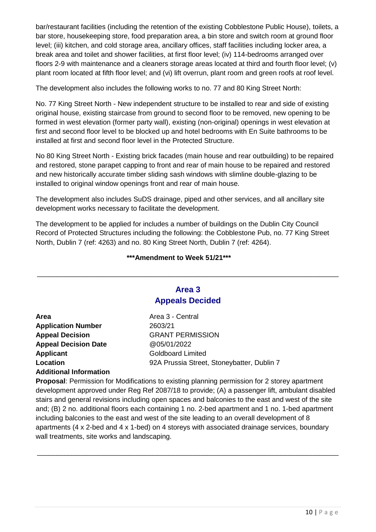bar/restaurant facilities (including the retention of the existing Cobblestone Public House), toilets, a bar store, housekeeping store, food preparation area, a bin store and switch room at ground floor level; (iii) kitchen, and cold storage area, ancillary offices, staff facilities including locker area, a break area and toilet and shower facilities, at first floor level; (iv) 114-bedrooms arranged over floors 2-9 with maintenance and a cleaners storage areas located at third and fourth floor level; (v) plant room located at fifth floor level; and (vi) lift overrun, plant room and green roofs at roof level.

The development also includes the following works to no. 77 and 80 King Street North:

No. 77 King Street North - New independent structure to be installed to rear and side of existing original house, existing staircase from ground to second floor to be removed, new opening to be formed in west elevation (former party wall), existing (non-original) openings in west elevation at first and second floor level to be blocked up and hotel bedrooms with En Suite bathrooms to be installed at first and second floor level in the Protected Structure.

No 80 King Street North - Existing brick facades (main house and rear outbuilding) to be repaired and restored, stone parapet capping to front and rear of main house to be repaired and restored and new historically accurate timber sliding sash windows with slimline double-glazing to be installed to original window openings front and rear of main house.

The development also includes SuDS drainage, piped and other services, and all ancillary site development works necessary to facilitate the development.

The development to be applied for includes a number of buildings on the Dublin City Council Record of Protected Structures including the following: the Cobblestone Pub, no. 77 King Street North, Dublin 7 (ref: 4263) and no. 80 King Street North, Dublin 7 (ref: 4264).

#### **\*\*\*Amendment to Week 51/21\*\*\***

#### **Area 3 Appeals Decided**

\_\_\_\_\_\_\_\_\_\_\_\_\_\_\_\_\_\_\_\_\_\_\_\_\_\_\_\_\_\_\_\_\_\_\_\_\_\_\_\_\_\_\_\_\_\_\_\_\_\_\_\_\_\_\_\_\_\_\_\_\_\_\_\_\_\_\_\_\_\_\_\_\_\_\_\_\_\_

| <b>Area</b>                   | Area 3 - Central                           |
|-------------------------------|--------------------------------------------|
| <b>Application Number</b>     | 2603/21                                    |
| <b>Appeal Decision</b>        | <b>GRANT PERMISSION</b>                    |
| <b>Appeal Decision Date</b>   | @05/01/2022                                |
| <b>Applicant</b>              | <b>Goldboard Limited</b>                   |
| Location                      | 92A Prussia Street, Stoneybatter, Dublin 7 |
| <b>Additional Information</b> |                                            |

**Proposal**: Permission for Modifications to existing planning permission for 2 storey apartment development approved under Reg Ref 2087/18 to provide; (A) a passenger lift, ambulant disabled stairs and general revisions including open spaces and balconies to the east and west of the site and; (B) 2 no. additional floors each containing 1 no. 2-bed apartment and 1 no. 1-bed apartment including balconies to the east and west of the site leading to an overall development of 8 apartments (4 x 2-bed and 4 x 1-bed) on 4 storeys with associated drainage services, boundary wall treatments, site works and landscaping.

\_\_\_\_\_\_\_\_\_\_\_\_\_\_\_\_\_\_\_\_\_\_\_\_\_\_\_\_\_\_\_\_\_\_\_\_\_\_\_\_\_\_\_\_\_\_\_\_\_\_\_\_\_\_\_\_\_\_\_\_\_\_\_\_\_\_\_\_\_\_\_\_\_\_\_\_\_\_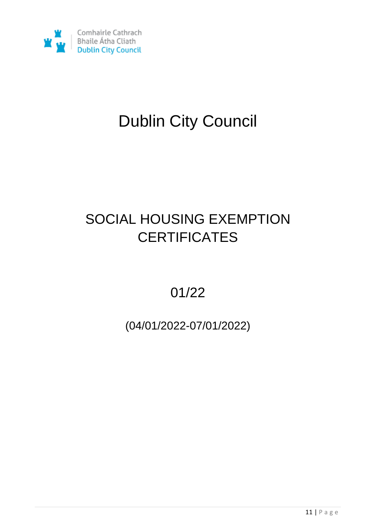

# Dublin City Council

## SOCIAL HOUSING EXEMPTION **CERTIFICATES**

01/22

(04/01/2022-07/01/2022)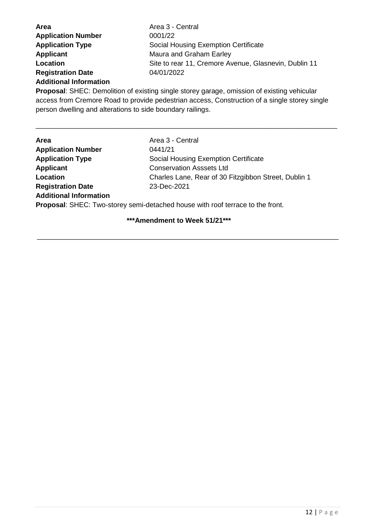| Area                          | Area 3 - Central                                      |
|-------------------------------|-------------------------------------------------------|
| <b>Application Number</b>     | 0001/22                                               |
| <b>Application Type</b>       | Social Housing Exemption Certificate                  |
| <b>Applicant</b>              | Maura and Graham Earley                               |
| Location                      | Site to rear 11, Cremore Avenue, Glasnevin, Dublin 11 |
| <b>Registration Date</b>      | 04/01/2022                                            |
| <b>Additional Information</b> |                                                       |

**Proposal**: SHEC: Demolition of existing single storey garage, omission of existing vehicular access from Cremore Road to provide pedestrian access, Construction of a single storey single person dwelling and alterations to side boundary railings.

\_\_\_\_\_\_\_\_\_\_\_\_\_\_\_\_\_\_\_\_\_\_\_\_\_\_\_\_\_\_\_\_\_\_\_\_\_\_\_\_\_\_\_\_\_\_\_\_\_\_\_\_\_\_\_\_\_\_\_\_\_\_\_\_\_\_\_\_\_\_\_\_\_\_\_\_\_\_

| <b>Area</b>                   | Area 3 - Central                                                                     |
|-------------------------------|--------------------------------------------------------------------------------------|
| <b>Application Number</b>     | 0441/21                                                                              |
| <b>Application Type</b>       | Social Housing Exemption Certificate                                                 |
| <b>Applicant</b>              | <b>Conservation Asssets Ltd</b>                                                      |
| Location                      | Charles Lane, Rear of 30 Fitzgibbon Street, Dublin 1                                 |
| <b>Registration Date</b>      | 23-Dec-2021                                                                          |
| <b>Additional Information</b> |                                                                                      |
|                               | <b>Drangool:</b> CUEC: Two otersy sami detached house with reaf terrace to the front |

**Proposal**: SHEC: Two-storey semi-detached house with roof terrace to the front.

#### **\*\*\*Amendment to Week 51/21\*\*\***

\_\_\_\_\_\_\_\_\_\_\_\_\_\_\_\_\_\_\_\_\_\_\_\_\_\_\_\_\_\_\_\_\_\_\_\_\_\_\_\_\_\_\_\_\_\_\_\_\_\_\_\_\_\_\_\_\_\_\_\_\_\_\_\_\_\_\_\_\_\_\_\_\_\_\_\_\_\_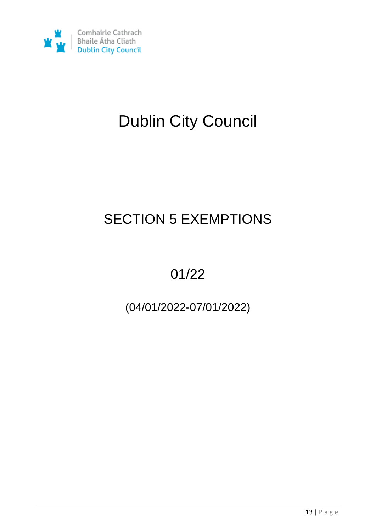

# Dublin City Council

## SECTION 5 EXEMPTIONS

## 01/22

### (04/01/2022-07/01/2022)